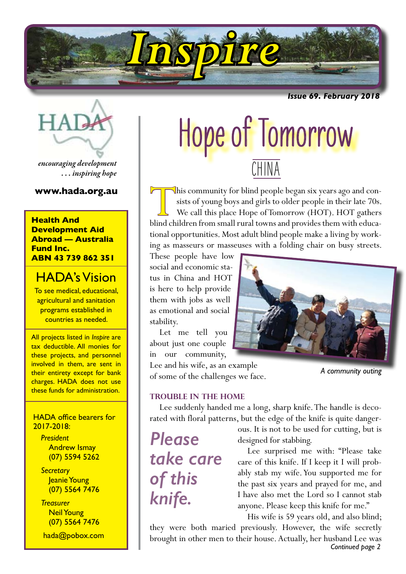

*Issue 69. February 2018*

*encouraging development . . . inspiring hope*

# **Health And Development Aid Abroad — Australia Fund Inc. ABN 43 739 862 351**

# HADA's Vision

To see medical, educational, agricultural and sanitation programs established in countries as needed.

All projects listed in *Inspire* are tax deductible. All monies for these projects, and personnel involved in them, are sent in their entirety except for bank charges. HADA does not use these funds for administration.

# HADA office bearers for 2017-2018:

*President* Andrew Ismay (07) 5594 5262

*Secretary* Jeanie Young (07) 5564 7476

*Treasurer* Neil Young (07) 5564 7476

hada@pobox.com

# Hope of Tomorrow **CHINA**

**www.hada.org.au**  $\Box$ his community for blind people began six years ago and consists of young boys and girls to older people in their late 70s. We call this place Hope of Tomorrow (HOT). HOT gathers blind children from small rural towns and provides them with educational opportunities. Most adult blind people make a living by working as masseurs or masseuses with a folding chair on busy streets.

> These people have low social and economic status in China and HOT is here to help provide them with jobs as well as emotional and social stability.

Let me tell you about just one couple in our community,

Lee and his wife, as an example of some of the challenges we face.

# **Trouble in the home**

Lee suddenly handed me a long, sharp knife. The handle is decorated with floral patterns, but the edge of the knife is quite danger-

*Please take care of this knife.*

ous. It is not to be used for cutting, but is designed for stabbing.

Lee surprised me with: "Please take care of this knife. If I keep it I will probably stab my wife. You supported me for the past six years and prayed for me, and I have also met the Lord so I cannot stab anyone. Please keep this knife for me."

His wife is 59 years old, and also blind;

*Continued page 2* they were both maried previously. However, the wife secretly brought in other men to their house. Actually, her husband Lee was



*A community outing*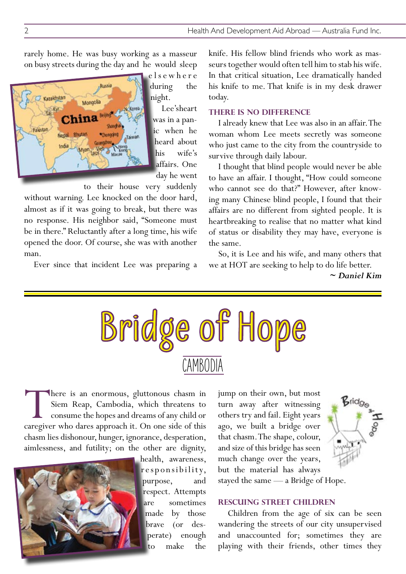rarely home. He was busy working as a masseur on busy streets during the day and he would sleep



e l s e w h e r e during the night.

Lee's heart was in a panic when he heard about his wife's affairs. One day he went

to their house very suddenly

without warning. Lee knocked on the door hard, almost as if it was going to break, but there was no response. His neighbor said, "Someone must be in there." Reluctantly after a long time, his wife opened the door. Of course, she was with another man.

Ever since that incident Lee was preparing a

knife. His fellow blind friends who work as masseurs together would often tell him to stab his wife. In that critical situation, Lee dramatically handed his knife to me. That knife is in my desk drawer today.

## **There is no difference**

I already knew that Lee was also in an affair. The woman whom Lee meets secretly was someone who just came to the city from the countryside to survive through daily labour.

I thought that blind people would never be able to have an affair. I thought, "How could someone who cannot see do that?" However, after knowing many Chinese blind people, I found that their affairs are no different from sighted people. It is heartbreaking to realise that no matter what kind of status or disability they may have, everyone is the same.

So, it is Lee and his wife, and many others that we at HOT are seeking to help to do life better.

*~ Daniel Kim*



There is an enormous, gluttonous chasm in Siem Reap, Cambodia, which threatens to consume the hopes and dreams of any child or caregiver who dares approach it. On one side of this chasm lies dishonour, hunger, ignorance, desperation, aimlessness, and futility; on the other are dignity,



health, awareness, r e sponsibility, purpose, and respect. Attempts are sometimes made by those brave (or desperate) enough to make the jump on their own, but most turn away after witnessing others try and fail. Eight years ago, we built a bridge over that chasm. The shape, colour, and size of this bridge has seen much change over the years, but the material has always



stayed the same — a Bridge of Hope.

# **Rescuing Street Children**

Children from the age of six can be seen wandering the streets of our city unsupervised and unaccounted for; sometimes they are playing with their friends, other times they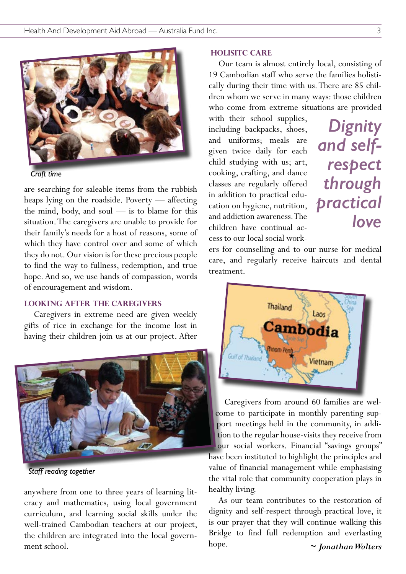

*Craft time*

are searching for saleable items from the rubbish heaps lying on the roadside. Poverty — affecting the mind, body, and soul — is to blame for this situation. The caregivers are unable to provide for their family's needs for a host of reasons, some of which they have control over and some of which they do not. Our vision is for these precious people to find the way to fullness, redemption, and true hope. And so, we use hands of compassion, words of encouragement and wisdom.

# **Looking after the caregivers**

Caregivers in extreme need are given weekly gifts of rice in exchange for the income lost in having their children join us at our project. After



*Staff reading together*

anywhere from one to three years of learning literacy and mathematics, using local government curriculum, and learning social skills under the well-trained Cambodian teachers at our project, the children are integrated into the local government school.

#### **Holisitc care**

Our team is almost entirely local, consisting of 19 Cambodian staff who serve the families holistically during their time with us. There are 85 children whom we serve in many ways: those children who come from extreme situations are provided

with their school supplies, including backpacks, shoes, and uniforms; meals are given twice daily for each child studying with us; art, cooking, crafting, and dance classes are regularly offered in addition to practical education on hygiene, nutrition, and addiction awareness. The children have continual access to our local social work-

*Dignity and selfrespect through practical love*

ers for counselling and to our nurse for medical care, and regularly receive haircuts and dental treatment.



Caregivers from around 60 families are welcome to participate in monthly parenting support meetings held in the community, in addition to the regular house-visits they receive from our social workers. Financial "savings groups" have been instituted to highlight the principles and value of financial management while emphasising the vital role that community cooperation plays in healthy living.

As our team contributes to the restoration of dignity and self-respect through practical love, it is our prayer that they will continue walking this Bridge to find full redemption and everlasting hope. *~ Jonathan Wolters*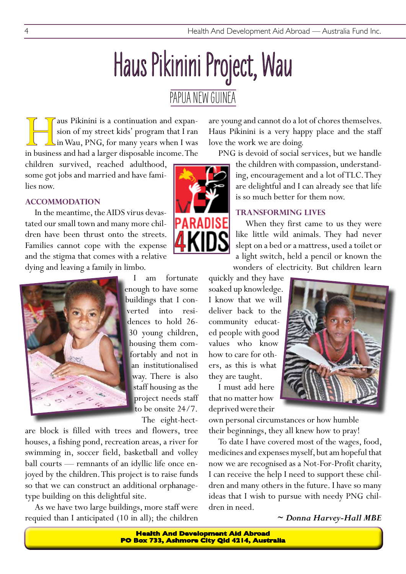# Haus Pikinini Project, Wau

# PAPUA NEW GUINEA

aus Pikinini is a continuation and expansion of my street kids' program that I ran in Wau, PNG, for many years when I was in business and had a larger disposable income. The sion of my street kids' program that I ran in Wau, PNG, for many years when I was

children survived, reached adulthood, some got jobs and married and have families now.

# **Accommodation**

In the meantime, the AIDS virus devastated our small town and many more children have been thrust onto the streets. Families cannot cope with the expense and the stigma that comes with a relative dying and leaving a family in limbo.



am fortunate enough to have some buildings that I converted into residences to hold 26- 30 young children, housing them comfortably and not in an institutionalised way. There is also staff housing as the project needs staff to be onsite 24/7. The eight-hect-

are block is filled with trees and flowers, tree houses, a fishing pond, recreation areas, a river for swimming in, soccer field, basketball and volley ball courts — remnants of an idyllic life once enjoyed by the children. This project is to raise funds so that we can construct an additional orphanagetype building on this delightful site.

As we have two large buildings, more staff were requied than I anticipated (10 in all); the children are young and cannot do a lot of chores themselves. Haus Pikinini is a very happy place and the staff love the work we are doing.

PNG is devoid of social services, but we handle

the children with compassion, understanding, encouragement and a lot of TLC. They are delightful and I can already see that life is so much better for them now.

# **transforming lives**

When they first came to us they were like little wild animals. They had never slept on a bed or a mattress, used a toilet or a light switch, held a pencil or known the wonders of electricity. But children learn

quickly and they have soaked up knowledge. I know that we will deliver back to the community educated people with good values who know how to care for others, as this is what they are taught.

I must add here that no matter how deprived were their



own personal circumstances or how humble their beginnings, they all knew how to pray!

To date I have covered most of the wages, food, medicines and expenses myself, but am hopeful that now we are recognised as a Not-For-Profit charity, I can receive the help I need to support these children and many others in the future. I have so many ideas that I wish to pursue with needy PNG children in need.

*~ Donna Harvey-Hall MBE* 

**Health And Development Aid Abroad PO Box 733, Ashmore City Qld 4214, Australia**

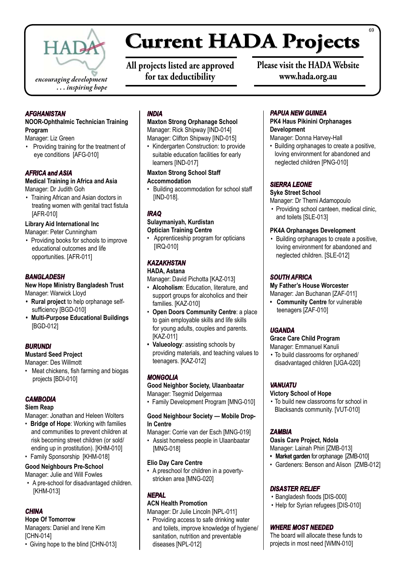

# **Current HADA Projects**

**All projects listed are approved for tax deductibility**

**Please visit the HADA Website www.hada.org.au**

#### *AFGHANISTAN*

#### **NOOR-Ophthalmic Technician Training Program**

Manager: Liz Green

• Providing training for the treatment of eye conditions [AFG-010]

## *AFRICA and ASIA*

#### **Medical Training in Africa and Asia**  Manager: Dr Judith Goh

• Training African and Asian doctors in treating women with genital tract fistula [AFR-010]

#### **Library Aid International Inc**

Manager: Peter Cunningham

• Providing books for schools to improve educational outcomes and life opportunities. [AFR-011]

## *BANGLADESH*

**New Hope Ministry Bangladesh Trust** Manager: Warwick Lloyd

- **• Rural project** to help orphanage selfsufficiency [BGD-010]
- **• Multi-Purpose Educational Buildings** [BGD-012]

#### *BURUNDI*

#### **Mustard Seed Project**

Manager: Des Willmott

• Meat chickens, fish farming and biogas projects [BDI-010]

# *CAMBODIA*

#### **Siem Reap**

Manager: Jonathan and Heleen Wolters

• **Bridge of Hope**: Working with families and communities to prevent children at risk becoming street children (or sold/ ending up in prostitution). [KHM-010]

# • Family Sponsorship [KHM-018]

# **Good Neighbours Pre-School**

Manager: Julie and Will Fowles • A pre-school for disadvantaged children. [KHM-013]

# *CHINA*

**Hope Of Tomorrow** Managers: Daniel and Irene Kim [CHN-014]

• Giving hope to the blind [CHN-013]

## *INDIA*

**Maxton Strong Orphanage School** Manager: Rick Shipway [IND-014] Manager: Clifton Shipway [IND-015]

• Kindergarten Construction: to provide suitable education facilities for early learners [IND-017]

#### **Maxton Strong School Staff Accommodation**

• Building accommodation for school staff [IND-018].

# *IRAQ*

# **Sulaymaniyah, Kurdistan**

**Optician Training Centre**

Apprenticeship program for opticians [IRQ-010]

# *KAZAKHSTAN*

# **HADA, Astana**

Manager: David Pichotta [KAZ-013]

- • **Alcoholism**: Education, literature, and support groups for alcoholics and their families. [KAZ-010]
- **Open Doors Community Centre: a place** to gain employable skills and life skills for young adults, couples and parents. [KAZ-011]
- **• Valueology**: assisting schools by providing materials, and teaching values to teenagers. [KAZ-012]

# *MONGOLIA*

# **Good Neighbor Society, Ulaanbaatar**

Manager: Tsegmid Delgermaa

• Family Development Program [MNG-010]

# **Good Neighbour Society — Mobile Drop-In Centre**

- Manager: Corrie van der Esch [MNG-019]
- • Assist homeless people in Ulaanbaatar [MNG-018]

#### **Elio Day Care Centre**

• A preschool for children in a povertystricken area [MNG-020]

# *NEPAL*

# **ACN Health Promotion**

Manager: Dr Julie Lincoln [NPL-011]

• Providing access to safe drinking water and toilets, improve knowledge of hygiene/ sanitation, nutrition and preventable diseases [NPL-012]

# *PAPUA NEW GUINEA*

# **PK4 Haus Pikinini Orphanages Development**

Manager: Donna Harvey-Hall

• Building orphanages to create a positive, loving environment for abandoned and neglected children [PNG-010]

# *SIERRA LEONE*

# **Syke Street School**

Manager: Dr Themi Adamopoulo

• Providing school canteen, medical clinic, and toilets [SLE-013]

## **PK4A Orphanages Development**

• Building orphanages to create a positive, loving environment for abandoned and neglected children. [SLE-012]

# *SOUTH AFRICA*

#### **My Father's House Worcester**

Manager: Jan Buchanan [ZAF-011]

**• Community Centre** for vulnerable teenagers [ZAF-010]

# *UGANDA*

# **Grace Care Child Program**

Manager: Emmanuel Kanuli

• To build classrooms for orphaned/ disadvantaged children [UGA-020]

# *VANUATU*

#### **Victory School of Hope**

• To build new classrooms for school in Blacksands community. [VUT-010]

# *ZAMBIA*

# **Oasis Care Project, Ndola**

Manager: Lainah Phiri [ZMB-013]

- **• Market garden** for orphanage [ZMB-010]
- Gardeners: Benson and Alison [ZMB-012]

# *DISASTER RELIEF*

- • Bangladesh floods [DIS-000]
- Help for Syrian refugees [DIS-010]

# *WHERE MOST NEEDED*

The board will allocate these funds to projects in most need [WMN-010]

69